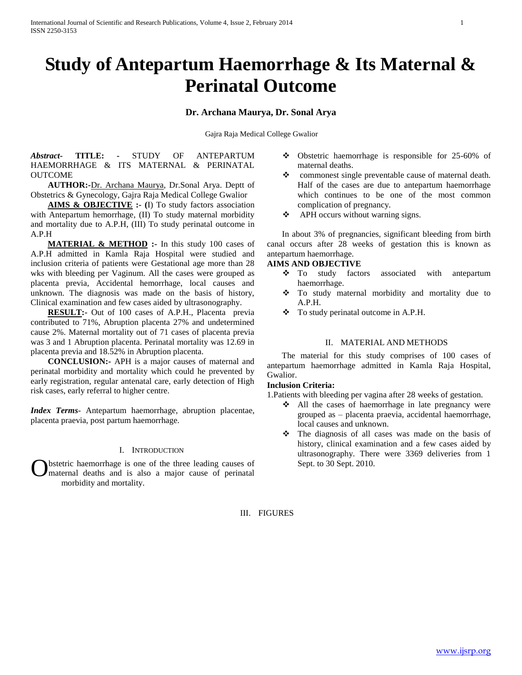# **Study of Antepartum Haemorrhage & Its Maternal & Perinatal Outcome**

#### **Dr. Archana Maurya, Dr. Sonal Arya**

Gajra Raja Medical College Gwalior

*Abstract***- TITLE: -** STUDY OF ANTEPARTUM HAEMORRHAGE & ITS MATERNAL & PERINATAL OUTCOME

 **AUTHOR:-**Dr. Archana Maurya, Dr.Sonal Arya. Deptt of Obstetrics & Gynecology, Gajra Raja Medical College Gwalior

 **AIMS & OBJECTIVE :- (**I) To study factors association with Antepartum hemorrhage, (II) To study maternal morbidity and mortality due to A.P.H, (III) To study perinatal outcome in A.P.H

**MATERIAL & METHOD** :- In this study 100 cases of A.P.H admitted in Kamla Raja Hospital were studied and inclusion criteria of patients were Gestational age more than 28 wks with bleeding per Vaginum. All the cases were grouped as placenta previa, Accidental hemorrhage, local causes and unknown. The diagnosis was made on the basis of history, Clinical examination and few cases aided by ultrasonography.

 **RESULT:-** Out of 100 cases of A.P.H., Placenta previa contributed to 71%, Abruption placenta 27% and undetermined cause 2%. Maternal mortality out of 71 cases of placenta previa was 3 and 1 Abruption placenta. Perinatal mortality was 12.69 in placenta previa and 18.52% in Abruption placenta.

 **CONCLUSION:-** APH is a major causes of maternal and perinatal morbidity and mortality which could he prevented by early registration, regular antenatal care, early detection of High risk cases, early referral to higher centre.

*Index Terms*- Antepartum haemorrhage, abruption placentae, placenta praevia, post partum haemorrhage.

#### I. INTRODUCTION

bstetric haemorrhage is one of the three leading causes of maternal deaths and is also a major cause of perinatal morbidity and mortality. O

- Obstetric haemorrhage is responsible for 25-60% of maternal deaths.
- commonest single preventable cause of maternal death. Half of the cases are due to antepartum haemorrhage which continues to be one of the most common complication of pregnancy.
- ❖ APH occurs without warning signs.

 In about 3% of pregnancies, significant bleeding from birth canal occurs after 28 weeks of gestation this is known as antepartum haemorrhage.

#### **AIMS AND OBJECTIVE**

- To study factors associated with antepartum haemorrhage.
- \* To study maternal morbidity and mortality due to A.P.H.
- $\div$  To study perinatal outcome in A.P.H.

#### II. MATERIAL AND METHODS

 The material for this study comprises of 100 cases of antepartum haemorrhage admitted in Kamla Raja Hospital, Gwalior.

#### **Inclusion Criteria:**

1.Patients with bleeding per vagina after 28 weeks of gestation.

- $\triangle$  All the cases of haemorrhage in late pregnancy were grouped as – placenta praevia, accidental haemorrhage, local causes and unknown.
- $\div$  The diagnosis of all cases was made on the basis of history, clinical examination and a few cases aided by ultrasonography. There were 3369 deliveries from 1 Sept. to 30 Sept. 2010.

III. FIGURES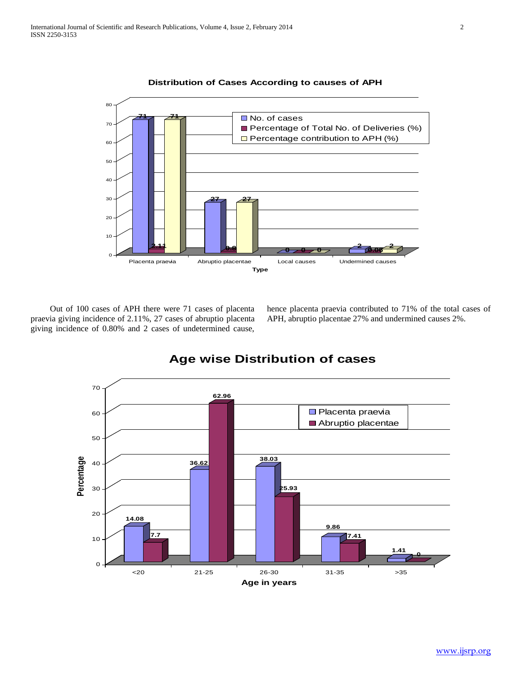

**Distribution of Cases According to causes of APH**

 Out of 100 cases of APH there were 71 cases of placenta praevia giving incidence of 2.11%, 27 cases of abruptio placenta giving incidence of 0.80% and 2 cases of undetermined cause,

hence placenta praevia contributed to 71% of the total cases of APH, abruptio placentae 27% and undermined causes 2%.



# **Age wise Distribution of cases**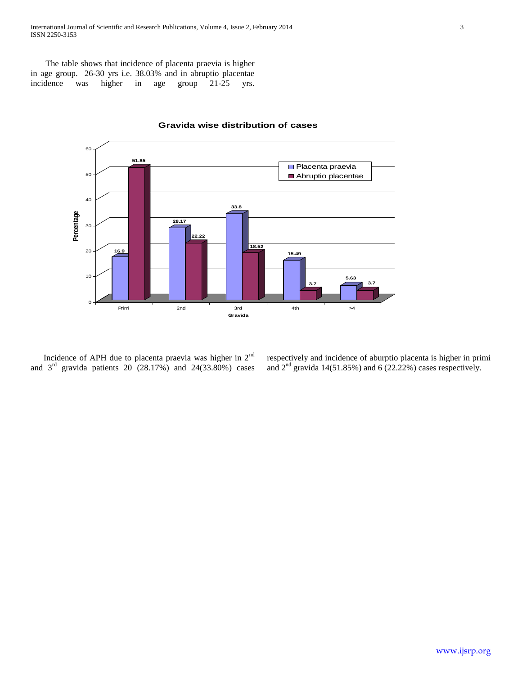International Journal of Scientific and Research Publications, Volume 4, Issue 2, February 2014 3 ISSN 2250-3153

 The table shows that incidence of placenta praevia is higher in age group. 26-30 yrs i.e. 38.03% and in abruptio placentae incidence was higher in age group 21-25 yrs.



**Gravida wise distribution of cases**

 Incidence of APH due to placenta praevia was higher in 2nd and  $3<sup>rd</sup>$  gravida patients  $20(28.17%)$  and  $24(33.80%)$  cases

respectively and incidence of aburptio placenta is higher in primi and  $2<sup>nd</sup>$  gravida 14(51.85%) and 6 (22.22%) cases respectively.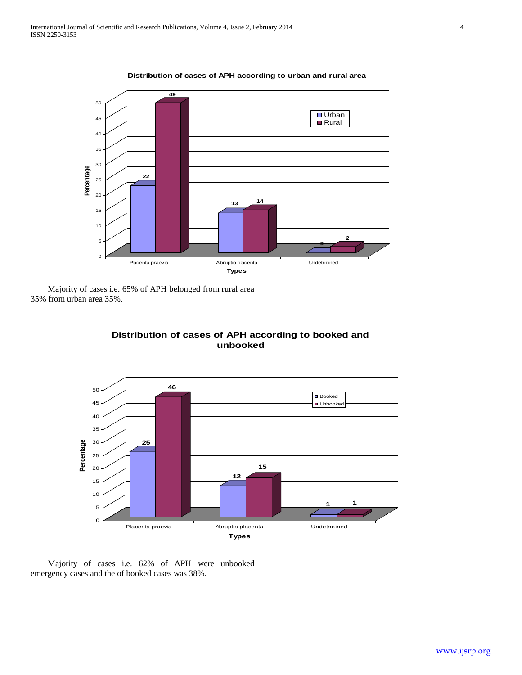

**Distribution of cases of APH according to urban and rural area**

 Majority of cases i.e. 65% of APH belonged from rural area 35% from urban area 35%.



## **Distribution of cases of APH according to booked and unbooked**

 Majority of cases i.e. 62% of APH were unbooked emergency cases and the of booked cases was 38%.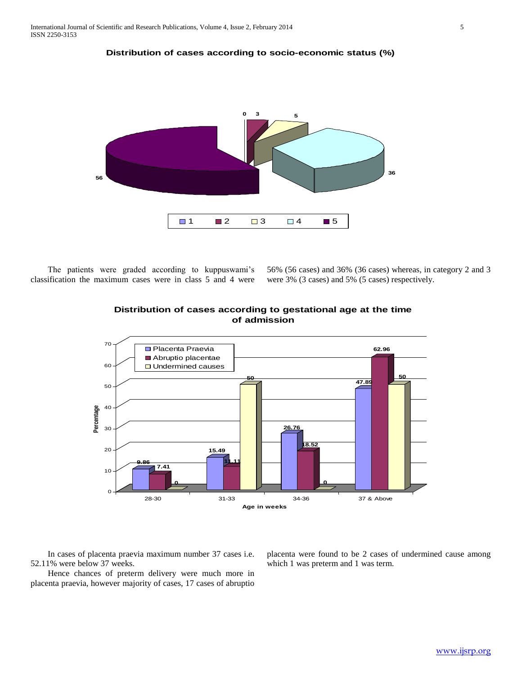



 The patients were graded according to kuppuswami's classification the maximum cases were in class 5 and 4 were

**56**

56% (56 cases) and 36% (36 cases) whereas, in category 2 and 3 were 3% (3 cases) and 5% (5 cases) respectively.



### **Distribution of cases according to gestational age at the time of admission**

1 **2**  $\Box$  3  $\Box$  4  $\Box$  5

 In cases of placenta praevia maximum number 37 cases i.e. 52.11% were below 37 weeks.

 Hence chances of preterm delivery were much more in placenta praevia, however majority of cases, 17 cases of abruptio

placenta were found to be 2 cases of undermined cause among which 1 was preterm and 1 was term.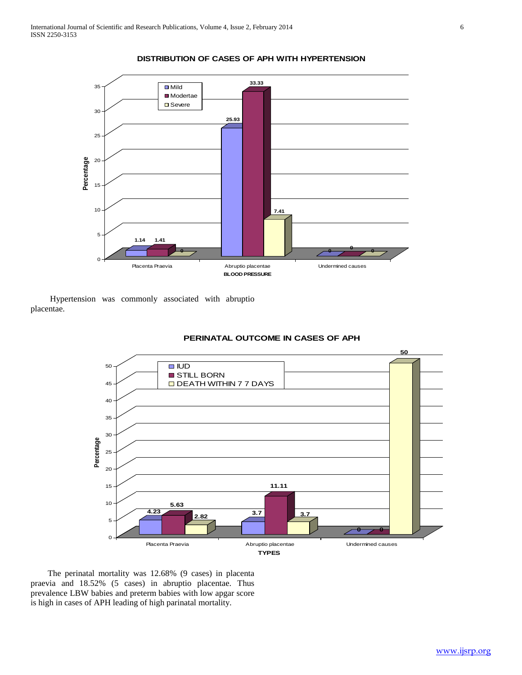

#### **DISTRIBUTION OF CASES OF APH WITH HYPERTENSION**

 Hypertension was commonly associated with abruptio placentae.



#### **PERINATAL OUTCOME IN CASES OF APH**

 The perinatal mortality was 12.68% (9 cases) in placenta praevia and 18.52% (5 cases) in abruptio placentae. Thus prevalence LBW babies and preterm babies with low apgar score is high in cases of APH leading of high parinatal mortality.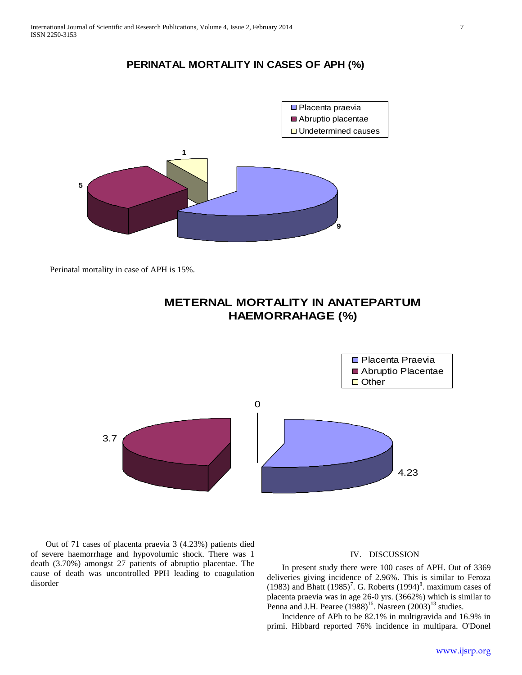## **PERINATAL MORTALITY IN CASES OF APH (%)**



Perinatal mortality in case of APH is 15%.



## **METERNAL MORTALITY IN ANATEPARTUM HAEMORRAHAGE (%)**

 Out of 71 cases of placenta praevia 3 (4.23%) patients died of severe haemorrhage and hypovolumic shock. There was 1 death (3.70%) amongst 27 patients of abruptio placentae. The cause of death was uncontrolled PPH leading to coagulation disorder

#### IV. DISCUSSION

 In present study there were 100 cases of APH. Out of 3369 deliveries giving incidence of 2.96%. This is similar to Feroza (1983) and Bhatt  $(1985)^7$ . G. Roberts  $(1994)^8$ . maximum cases of placenta praevia was in age 26-0 yrs. (3662%) which is similar to Penna and J.H. Pearee  $(1988)^{16}$ . Nasreen  $(2003)^{13}$  studies.

 Incidence of APh to be 82.1% in multigravida and 16.9% in primi. Hibbard reported 76% incidence in multipara. O'Donel